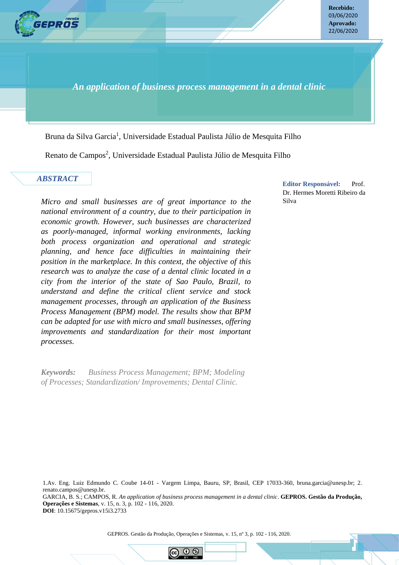

**Recebido:** 03/06/2020 **Aprovado:** 22/06/2020

*An application of business process management in a dental clinic*

Bruna da Silva Garcia<sup>1</sup>, Universidade Estadual Paulista Júlio de Mesquita Filho

Renato de Campos<sup>2</sup>, Universidade Estadual Paulista Júlio de Mesquita Filho

## *ABSTRACT*

*Micro and small businesses are of great importance to the national environment of a country, due to their participation in economic growth. However, such businesses are characterized as poorly-managed, informal working environments, lacking both process organization and operational and strategic planning, and hence face difficulties in maintaining their position in the marketplace. In this context, the objective of this research was to analyze the case of a dental clinic located in a city from the interior of the state of Sao Paulo, Brazil, to understand and define the critical client service and stock management processes, through an application of the Business Process Management (BPM) model. The results show that BPM can be adapted for use with micro and small businesses, offering improvements and standardization for their most important processes.* 

*Keywords: Business Process Management; BPM; Modeling of Processes; Standardization/ Improvements; Dental Clinic.*

**GEPROS. Gestão da Produção, Operações e Sistemas**, Bauru, Ano 14, nº 4, out-dez/2018, p. 1-23.

**Editor Responsável:** Prof. Dr. Hermes Moretti Ribeiro da Silva

1.Av. Eng. Luiz Edmundo C. Coube 14-01 - Vargem Limpa, Bauru, SP, Brasil, CEP 17033-360, bruna.garcia@unesp.br; 2. renato.campos@unesp.br. GARCIA, B. S.; CAMPOS, R. *An application of business process management in a dental clinic*. **GEPROS. Gestão da Produção, Operações e Sistemas**, v. 15, n. 3, p. 102 - 116, 2020. **DOI**: 10.15675/gepros.v15i3.2733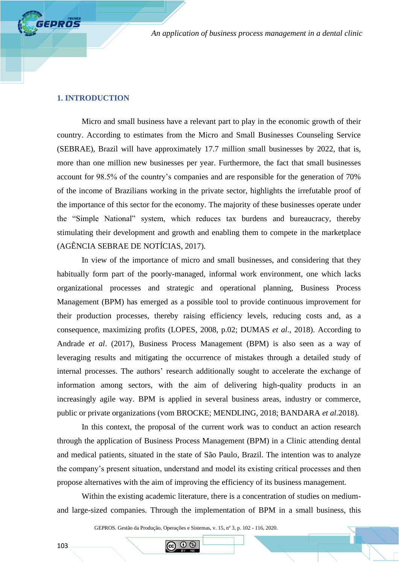#### **1. INTRODUCTION**

**GEPROS** 

Micro and small business have a relevant part to play in the economic growth of their country. According to estimates from the Micro and Small Businesses Counseling Service (SEBRAE), Brazil will have approximately 17.7 million small businesses by 2022, that is, more than one million new businesses per year. Furthermore, the fact that small businesses account for 98.5% of the country's companies and are responsible for the generation of 70% of the income of Brazilians working in the private sector, highlights the irrefutable proof of the importance of this sector for the economy. The majority of these businesses operate under the "Simple National" system, which reduces tax burdens and bureaucracy, thereby stimulating their development and growth and enabling them to compete in the marketplace (AGÊNCIA SEBRAE DE NOTÍCIAS, 2017).

In view of the importance of micro and small businesses, and considering that they habitually form part of the poorly-managed, informal work environment, one which lacks organizational processes and strategic and operational planning, Business Process Management (BPM) has emerged as a possible tool to provide continuous improvement for their production processes, thereby raising efficiency levels, reducing costs and, as a consequence, maximizing profits (LOPES, 2008, p.02; DUMAS *et al*., 2018). According to Andrade *et al*. (2017), Business Process Management (BPM) is also seen as a way of leveraging results and mitigating the occurrence of mistakes through a detailed study of internal processes. The authors' research additionally sought to accelerate the exchange of information among sectors, with the aim of delivering high-quality products in an increasingly agile way. BPM is applied in several business areas, industry or commerce, public or private organizations (vom BROCKE; MENDLING, 2018; BANDARA *et al*.2018).

In this context, the proposal of the current work was to conduct an action research through the application of Business Process Management (BPM) in a Clinic attending dental and medical patients, situated in the state of São Paulo, Brazil. The intention was to analyze the company's present situation, understand and model its existing critical processes and then propose alternatives with the aim of improving the efficiency of its business management.

Within the existing academic literature, there is a concentration of studies on mediumand large-sized companies. Through the implementation of BPM in a small business, this

GEPROS. Gestão da Produção, Operações e Sistemas, v. 15, nº 3, p. 102 - 116, 2020.

 $\odot$   $\odot$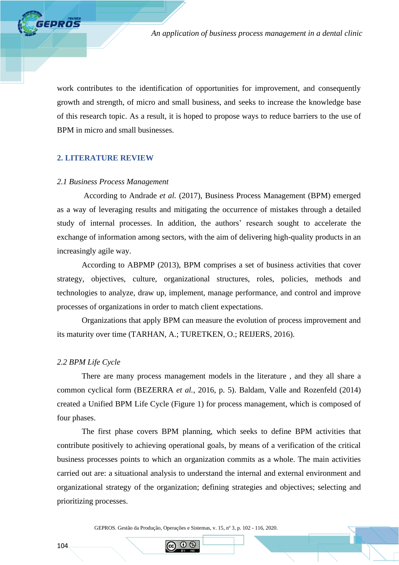work contributes to the identification of opportunities for improvement, and consequently growth and strength, of micro and small business, and seeks to increase the knowledge base of this research topic. As a result, it is hoped to propose ways to reduce barriers to the use of BPM in micro and small businesses.

# **2. LITERATURE REVIEW**

**FEPROS** 

#### *2.1 Business Process Management*

According to Andrade *et al.* (2017), Business Process Management (BPM) emerged as a way of leveraging results and mitigating the occurrence of mistakes through a detailed study of internal processes. In addition, the authors' research sought to accelerate the exchange of information among sectors, with the aim of delivering high-quality products in an increasingly agile way.

According to ABPMP (2013), BPM comprises a set of business activities that cover strategy, objectives, culture, organizational structures, roles, policies, methods and technologies to analyze, draw up, implement, manage performance, and control and improve processes of organizations in order to match client expectations.

Organizations that apply BPM can measure the evolution of process improvement and its maturity over time (TARHAN, A.; TURETKEN, O.; REIJERS, 2016).

#### *2.2 BPM Life Cycle*

There are many process management models in the literature , and they all share a common cyclical form (BEZERRA *et al.,* 2016, p. 5). Baldam, Valle and Rozenfeld (2014) created a Unified BPM Life Cycle (Figure 1) for process management, which is composed of four phases.

The first phase covers BPM planning, which seeks to define BPM activities that contribute positively to achieving operational goals, by means of a verification of the critical business processes points to which an organization commits as a whole. The main activities carried out are: a situational analysis to understand the internal and external environment and organizational strategy of the organization; defining strategies and objectives; selecting and prioritizing processes.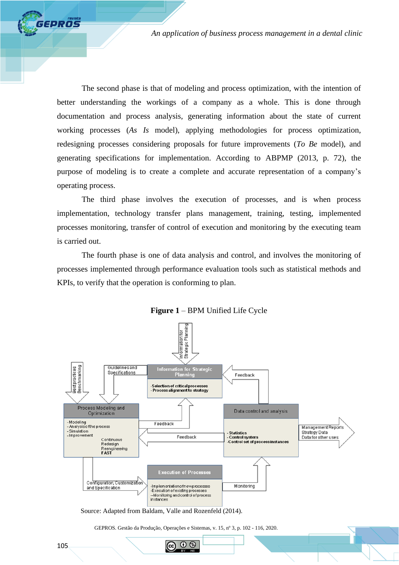The second phase is that of modeling and process optimization, with the intention of better understanding the workings of a company as a whole. This is done through documentation and process analysis, generating information about the state of current working processes (*As Is* model), applying methodologies for process optimization, redesigning processes considering proposals for future improvements (*To Be* model), and generating specifications for implementation. According to ABPMP (2013, p. 72), the purpose of modeling is to create a complete and accurate representation of a company's operating process.

The third phase involves the execution of processes, and is when process implementation, technology transfer plans management, training, testing, implemented processes monitoring, transfer of control of execution and monitoring by the executing team is carried out.

The fourth phase is one of data analysis and control, and involves the monitoring of processes implemented through performance evaluation tools such as statistical methods and KPIs, to verify that the operation is conforming to plan.



**Figure 1** – BPM Unified Life Cycle

Source: Adapted from Baldam, Valle and Rozenfeld (2014).

GEPROS. Gestão da Produção, Operações e Sistemas, v. 15, nº 3, p. 102 - 116, 2020.

 $\odot$   $\odot$ 

GEPROS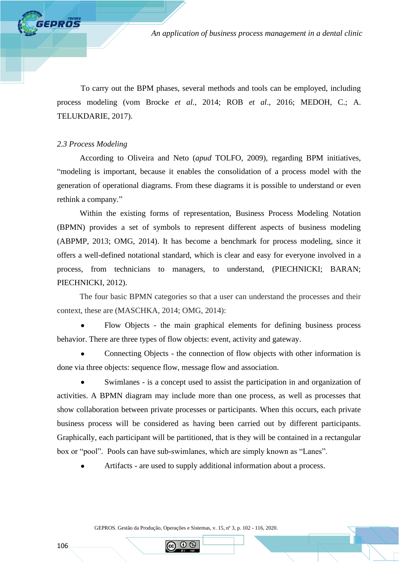To carry out the BPM phases, several methods and tools can be employed, including process modeling (vom Brocke *et al.*, 2014; ROB *et al*., 2016; MEDOH, C.; A. TELUKDARIE, 2017).

## *2.3 Process Modeling*

**FPROS** 

According to Oliveira and Neto (*apud* TOLFO, 2009), regarding BPM initiatives, "modeling is important, because it enables the consolidation of a process model with the generation of operational diagrams. From these diagrams it is possible to understand or even rethink a company."

Within the existing forms of representation, Business Process Modeling Notation (BPMN) provides a set of symbols to represent different aspects of business modeling (ABPMP, 2013; OMG, 2014). It has become a benchmark for process modeling, since it offers a well-defined notational standard, which is clear and easy for everyone involved in a process, from technicians to managers, to understand, (PIECHNICKI; BARAN; PIECHNICKI, 2012).

The four basic BPMN categories so that a user can understand the processes and their context, these are (MASCHKA, 2014; OMG, 2014):

• Flow Objects - the main graphical elements for defining business process behavior. There are three types of flow objects: event, activity and gateway.

• Connecting Objects - the connection of flow objects with other information is done via three objects: sequence flow, message flow and association.

• Swimlanes - is a concept used to assist the participation in and organization of activities. A BPMN diagram may include more than one process, as well as processes that show collaboration between private processes or participants. When this occurs, each private business process will be considered as having been carried out by different participants. Graphically, each participant will be partitioned, that is they will be contained in a rectangular box or "pool". Pools can have sub-swimlanes, which are simply known as "Lanes".

• Artifacts - are used to supply additional information about a process.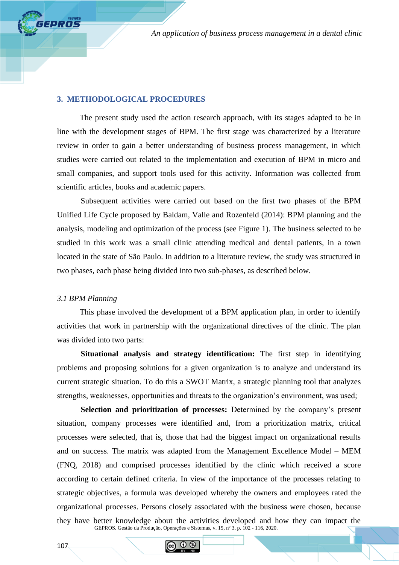## **3. METHODOLOGICAL PROCEDURES**

The present study used the action research approach, with its stages adapted to be in line with the development stages of BPM. The first stage was characterized by a literature review in order to gain a better understanding of business process management, in which studies were carried out related to the implementation and execution of BPM in micro and small companies, and support tools used for this activity. Information was collected from scientific articles, books and academic papers.

Subsequent activities were carried out based on the first two phases of the BPM Unified Life Cycle proposed by Baldam, Valle and Rozenfeld (2014): BPM planning and the analysis, modeling and optimization of the process (see Figure 1). The business selected to be studied in this work was a small clinic attending medical and dental patients, in a town located in the state of São Paulo. In addition to a literature review, the study was structured in two phases, each phase being divided into two sub-phases, as described below.

# *3.1 BPM Planning*

**FEPROS** 

This phase involved the development of a BPM application plan, in order to identify activities that work in partnership with the organizational directives of the clinic. The plan was divided into two parts:

**Situational analysis and strategy identification:** The first step in identifying problems and proposing solutions for a given organization is to analyze and understand its current strategic situation. To do this a SWOT Matrix, a strategic planning tool that analyzes strengths, weaknesses, opportunities and threats to the organization's environment, was used;

GEPROS. Gestão da Produção, Operações e Sistemas, v. 15, nº 3, p. 102 - 116, 2020. **Selection and prioritization of processes:** Determined by the company's present situation, company processes were identified and, from a prioritization matrix, critical processes were selected, that is, those that had the biggest impact on organizational results and on success. The matrix was adapted from the Management Excellence Model – MEM (FNQ, 2018) and comprised processes identified by the clinic which received a score according to certain defined criteria. In view of the importance of the processes relating to strategic objectives, a formula was developed whereby the owners and employees rated the organizational processes. Persons closely associated with the business were chosen, because they have better knowledge about the activities developed and how they can impact the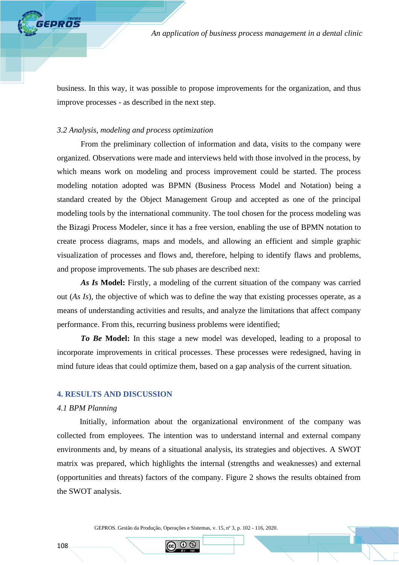business. In this way, it was possible to propose improvements for the organization, and thus improve processes - as described in the next step.

## *3.2 Analysis, modeling and process optimization*

**EPROS** 

From the preliminary collection of information and data, visits to the company were organized. Observations were made and interviews held with those involved in the process, by which means work on modeling and process improvement could be started. The process modeling notation adopted was BPMN (Business Process Model and Notation) being a standard created by the Object Management Group and accepted as one of the principal modeling tools by the international community. The tool chosen for the process modeling was the Bizagi Process Modeler, since it has a free version, enabling the use of BPMN notation to create process diagrams, maps and models, and allowing an efficient and simple graphic visualization of processes and flows and, therefore, helping to identify flaws and problems, and propose improvements. The sub phases are described next:

As Is Model: Firstly, a modeling of the current situation of the company was carried out (*As Is*), the objective of which was to define the way that existing processes operate, as a means of understanding activities and results, and analyze the limitations that affect company performance. From this, recurring business problems were identified;

*To Be* **Model:** In this stage a new model was developed, leading to a proposal to incorporate improvements in critical processes. These processes were redesigned, having in mind future ideas that could optimize them, based on a gap analysis of the current situation.

#### **4. RESULTS AND DISCUSSION**

#### *4.1 BPM Planning*

Initially, information about the organizational environment of the company was collected from employees. The intention was to understand internal and external company environments and, by means of a situational analysis, its strategies and objectives. A SWOT matrix was prepared, which highlights the internal (strengths and weaknesses) and external (opportunities and threats) factors of the company. Figure 2 shows the results obtained from the SWOT analysis.

GEPROS. Gestão da Produção, Operações e Sistemas, v. 15, nº 3, p. 102 - 116, 2020.

60 B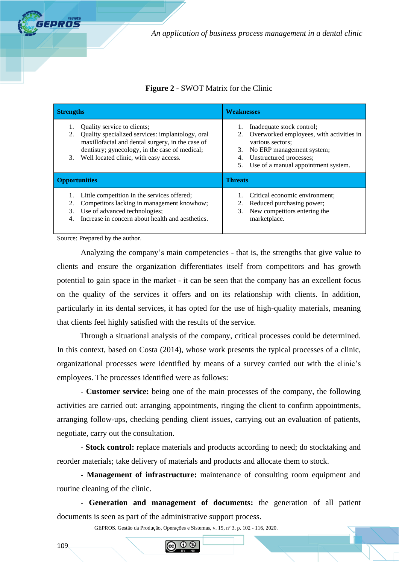

# **Figure 2** - SWOT Matrix for the Clinic

| <b>Strengths</b>                                                                                                                                                                                                                                  | <b>Weaknesses</b>                                                                                                                                                                                                |  |  |  |
|---------------------------------------------------------------------------------------------------------------------------------------------------------------------------------------------------------------------------------------------------|------------------------------------------------------------------------------------------------------------------------------------------------------------------------------------------------------------------|--|--|--|
| Quality service to clients;<br>1.<br>Quality specialized services: implantology, oral<br>2.<br>maxillofacial and dental surgery, in the case of<br>dentistry; gynecology, in the case of medical;<br>Well located clinic, with easy access.<br>3. | Inadequate stock control;<br>1.<br>Overworked employees, with activities in<br>various sectors;<br>No ERP management system;<br>3.<br>Unstructured processes;<br>4.<br>Use of a manual appointment system.<br>5. |  |  |  |
| <b>Opportunities</b>                                                                                                                                                                                                                              | <b>Threats</b>                                                                                                                                                                                                   |  |  |  |
| Little competition in the services offered;<br>Competitors lacking in management knowhow;<br>2.<br>Use of advanced technologies;<br>3.<br>Increase in concern about health and aesthetics.<br>$\mathbf{4}$ .                                      | Critical economic environment;<br>Reduced purchasing power;<br>2.<br>New competitors entering the<br>3.<br>marketplace.                                                                                          |  |  |  |

Source: Prepared by the author.

Analyzing the company's main competencies - that is, the strengths that give value to clients and ensure the organization differentiates itself from competitors and has growth potential to gain space in the market - it can be seen that the company has an excellent focus on the quality of the services it offers and on its relationship with clients. In addition, particularly in its dental services, it has opted for the use of high-quality materials, meaning that clients feel highly satisfied with the results of the service.

Through a situational analysis of the company, critical processes could be determined. In this context, based on Costa (2014), whose work presents the typical processes of a clinic, organizational processes were identified by means of a survey carried out with the clinic's employees. The processes identified were as follows:

**- Customer service:** being one of the main processes of the company, the following activities are carried out: arranging appointments, ringing the client to confirm appointments, arranging follow-ups, checking pending client issues, carrying out an evaluation of patients, negotiate, carry out the consultation.

**- Stock control:** replace materials and products according to need; do stocktaking and reorder materials; take delivery of materials and products and allocate them to stock.

**- Management of infrastructure:** maintenance of consulting room equipment and routine cleaning of the clinic.

**- Generation and management of documents:** the generation of all patient documents is seen as part of the administrative support process.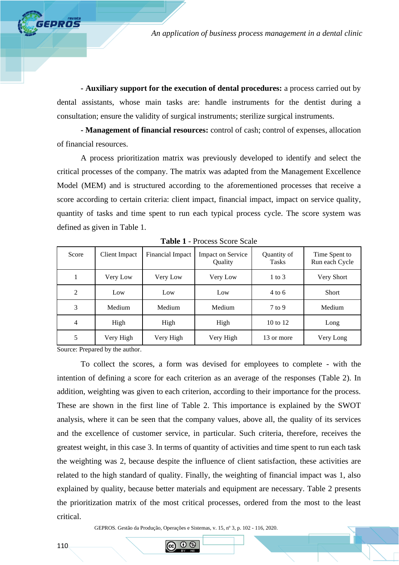**- Auxiliary support for the execution of dental procedures:** a process carried out by dental assistants, whose main tasks are: handle instruments for the dentist during a consultation; ensure the validity of surgical instruments; sterilize surgical instruments.

**- Management of financial resources:** control of cash; control of expenses, allocation of financial resources.

A process prioritization matrix was previously developed to identify and select the critical processes of the company. The matrix was adapted from the Management Excellence Model (MEM) and is structured according to the aforementioned processes that receive a score according to certain criteria: client impact, financial impact, impact on service quality, quantity of tasks and time spent to run each typical process cycle. The score system was defined as given in Table 1.

| Score | <b>Client Impact</b> | Financial Impact | <b>Impact on Service</b><br>Quantity of<br>Quality<br><b>Tasks</b> |                   | Time Spent to<br>Run each Cycle |  |
|-------|----------------------|------------------|--------------------------------------------------------------------|-------------------|---------------------------------|--|
|       | Very Low             | Very Low         | Very Low                                                           | $1$ to $3$        | Very Short                      |  |
| 2     | Low                  | Low              | Low                                                                | $4 \text{ to } 6$ | <b>Short</b>                    |  |
| 3     | Medium               | Medium           | Medium                                                             | $7$ to 9          | Medium                          |  |
| 4     | High                 | High             | High                                                               | 10 to 12          | Long                            |  |
| 5     | Very High            | Very High        | Very High                                                          | 13 or more        | Very Long                       |  |

**Table 1** - Process Score Scale

Source: Prepared by the author.

**EPROS** 

To collect the scores, a form was devised for employees to complete - with the intention of defining a score for each criterion as an average of the responses (Table 2). In addition, weighting was given to each criterion, according to their importance for the process. These are shown in the first line of Table 2. This importance is explained by the SWOT analysis, where it can be seen that the company values, above all, the quality of its services and the excellence of customer service, in particular. Such criteria, therefore, receives the greatest weight, in this case 3. In terms of quantity of activities and time spent to run each task the weighting was 2, because despite the influence of client satisfaction, these activities are related to the high standard of quality. Finally, the weighting of financial impact was 1, also explained by quality, because better materials and equipment are necessary. Table 2 presents the prioritization matrix of the most critical processes, ordered from the most to the least critical.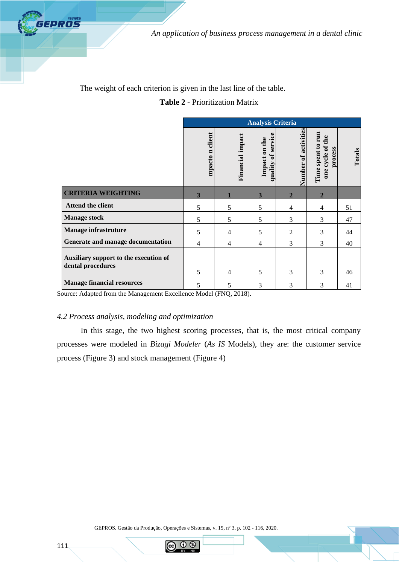

The weight of each criterion is given in the last line of the table.

# **Table 2** - Prioritization Matrix

|                                                            | <b>Analysis Criteria</b> |                  |                                                 |                      |                                                     |        |
|------------------------------------------------------------|--------------------------|------------------|-------------------------------------------------|----------------------|-----------------------------------------------------|--------|
|                                                            | client<br>mpacto n       | Financial impact | service<br>Impact on the<br>$\sigma$<br>quality | Number of activities | Time spent to run<br>the<br>one cycle of<br>process | Totals |
| <b>CRITERIA WEIGHTING</b>                                  | 3                        |                  | 3                                               | $\overline{2}$       | $\overline{2}$                                      |        |
| Attend the client                                          | 5                        | 5                | 5                                               | $\overline{4}$       | 4                                                   | 51     |
| <b>Manage stock</b>                                        | 5                        | 5                | 5                                               | 3                    | 3                                                   | 47     |
| <b>Manage infrastruture</b>                                | 5                        | $\overline{4}$   | 5                                               | $\overline{2}$       | 3                                                   | 44     |
| Generate and manage documentation                          | 4                        | $\overline{4}$   | 4                                               | 3                    | 3                                                   | 40     |
| Auxiliary support to the execution of<br>dental procedures | 5                        | $\overline{4}$   | 5                                               | 3                    | 3                                                   | 46     |
| <b>Manage financial resources</b>                          | 5                        | 5                | 3                                               | 3                    | 3                                                   | 41     |

Source: Adapted from the Management Excellence Model (FNQ, 2018).

# *4.2 Process analysis, modeling and optimization*

In this stage, the two highest scoring processes, that is, the most critical company processes were modeled in *Bizagi Modeler* (*As IS* Models), they are: the customer service process (Figure 3) and stock management (Figure 4)

GEPROS. Gestão da Produção, Operações e Sistemas, v. 15, nº 3, p. 102 - 116, 2020.

**IS** 

GEPROS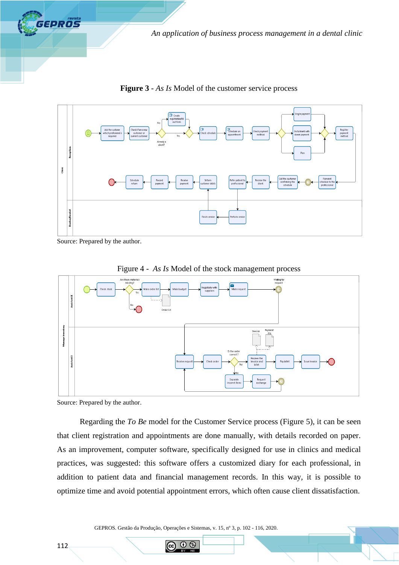

s<br>ingle payme  $\blacksquare$  Create Ask the cus eck if are Schedule and Register<br>payment<br>method eck payn<br>method Already terention Clinic all the custom<br>confirming the<br>schedule Schedul<br>return Record<br>payment Receive<br>payment Infort<br>tomer efer patient<br>professiona Receive th<br>dient **octor/Dentist** .<br>Finish ser erform ser

**Figure 3** - *As Is* Model of the customer service process

Source: Prepared by the author.



Figure 4 - *As Is* Model of the stock management process

Source: Prepared by the author.

Regarding the *To Be* model for the Customer Service process (Figure 5), it can be seen that client registration and appointments are done manually, with details recorded on paper. As an improvement, computer software, specifically designed for use in clinics and medical practices, was suggested: this software offers a customized diary for each professional, in addition to patient data and financial management records. In this way, it is possible to optimize time and avoid potential appointment errors, which often cause client dissatisfaction.

GEPROS. Gestão da Produção, Operações e Sistemas, v. 15, nº 3, p. 102 - 116, 2020.

റ ഭ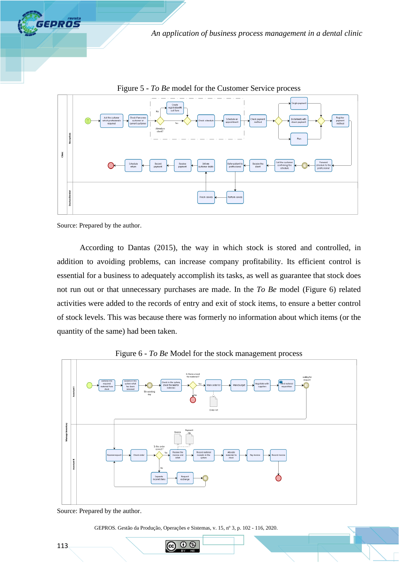



Figure 5 - *To Be* model for the Customer Service process

Source: Prepared by the author.

According to Dantas (2015), the way in which stock is stored and controlled, in addition to avoiding problems, can increase company profitability. Its efficient control is essential for a business to adequately accomplish its tasks, as well as guarantee that stock does not run out or that unnecessary purchases are made. In the *To Be* model (Figure 6) related activities were added to the records of entry and exit of stock items, to ensure a better control of stock levels. This was because there was formerly no information about which items (or the quantity of the same) had been taken.



Figure 6 - *To Be* Model for the stock management process

GEPROS. Gestão da Produção, Operações e Sistemas, v. 15, nº 3, p. 102 - 116, 2020.

റ ഭ

Source: Prepared by the author.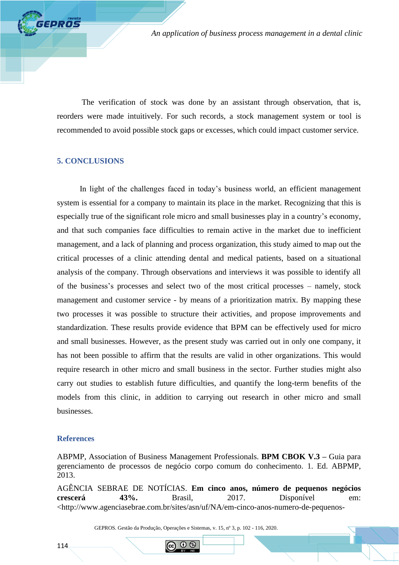The verification of stock was done by an assistant through observation, that is, reorders were made intuitively. For such records, a stock management system or tool is recommended to avoid possible stock gaps or excesses, which could impact customer service.

# **5. CONCLUSIONS**

**FEPROS** 

In light of the challenges faced in today's business world, an efficient management system is essential for a company to maintain its place in the market. Recognizing that this is especially true of the significant role micro and small businesses play in a country's economy, and that such companies face difficulties to remain active in the market due to inefficient management, and a lack of planning and process organization, this study aimed to map out the critical processes of a clinic attending dental and medical patients, based on a situational analysis of the company. Through observations and interviews it was possible to identify all of the business's processes and select two of the most critical processes – namely, stock management and customer service - by means of a prioritization matrix. By mapping these two processes it was possible to structure their activities, and propose improvements and standardization. These results provide evidence that BPM can be effectively used for micro and small businesses. However, as the present study was carried out in only one company, it has not been possible to affirm that the results are valid in other organizations. This would require research in other micro and small business in the sector. Further studies might also carry out studies to establish future difficulties, and quantify the long-term benefits of the models from this clinic, in addition to carrying out research in other micro and small businesses.

## **References**

ABPMP, Association of Business Management Professionals. **BPM CBOK V.3 –** Guia para gerenciamento de processos de negócio corpo comum do conhecimento. 1. Ed. ABPMP, 2013.

AGÊNCIA SEBRAE DE NOTÍCIAS. **Em cinco anos, número de pequenos negócios crescerá 43%.** Brasil, 2017. Disponível em: <http://www.agenciasebrae.com.br/sites/asn/uf/NA/em-cinco-anos-numero-de-pequenos-

GEPROS. Gestão da Produção, Operações e Sistemas, v. 15, nº 3, p. 102 - 116, 2020.

റ ഭ

114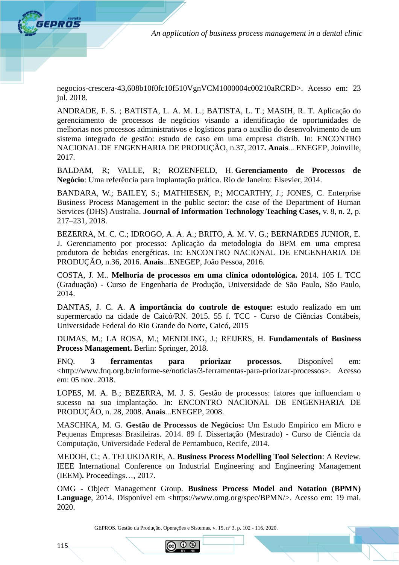negocios-crescera-43,608b10f0fc10f510VgnVCM1000004c00210aRCRD>. Acesso em: 23 jul. 2018.

ANDRADE, F. S. ; BATISTA, L. A. M. L.; BATISTA, L. T.; MASIH, R. T. Aplicação do gerenciamento de processos de negócios visando a identificação de oportunidades de melhorias nos processos administrativos e logísticos para o auxílio do desenvolvimento de um sistema integrado de gestão: estudo de caso em uma empresa distrib. In: ENCONTRO NACIONAL DE ENGENHARIA DE PRODUÇÃO, n.37, 2017**. Anais**... ENEGEP, Joinville, 2017.

BALDAM, R; VALLE, R; ROZENFELD, H. **Gerenciamento de Processos de Negócio**: Uma referência para implantação prática. Rio de Janeiro: Elsevier, 2014.

BANDARA, W.; BAILEY, S.; MATHIESEN, P.; MCCARTHY, J.; JONES, C. Enterprise Business Process Management in the public sector: the case of the Department of Human Services (DHS) Australia. **Journal of Information Technology Teaching Cases,** v. 8, n. 2, p. 217–231, 2018.

BEZERRA, M. C. C.; IDROGO, A. A. A.; BRITO, A. M. V. G.; BERNARDES JUNIOR, E. J. Gerenciamento por processo: Aplicação da metodologia do BPM em uma empresa produtora de bebidas energéticas. In: ENCONTRO NACIONAL DE ENGENHARIA DE PRODUÇÃO, n.36, 2016. **Anais**...ENEGEP, João Pessoa, 2016.

COSTA, J. M.. **Melhoria de processos em uma clínica odontológica.** 2014. 105 f. TCC (Graduação) - Curso de Engenharia de Produção, Universidade de São Paulo, São Paulo, 2014.

DANTAS, J. C. A. **A importância do controle de estoque:** estudo realizado em um supermercado na cidade de Caicó/RN. 2015. 55 f. TCC - Curso de Ciências Contábeis, Universidade Federal do Rio Grande do Norte, Caicó, 2015

DUMAS, M.; LA ROSA, M.; MENDLING, J.; REIJERS, H. **Fundamentals of Business Process Management.** Berlin: Springer, 2018.

FNQ. **3 ferramentas para priorizar processos.** Disponível em: <http://www.fnq.org.br/informe-se/noticias/3-ferramentas-para-priorizar-processos>. Acesso em: 05 nov. 2018.

LOPES, M. A. B.; BEZERRA, M. J. S. Gestão de processos: fatores que influenciam o sucesso na sua implantação. In: ENCONTRO NACIONAL DE ENGENHARIA DE PRODUÇÃO, n. 28, 2008. **Anais**...ENEGEP, 2008.

MASCHKA, M. G. **Gestão de Processos de Negócios:** Um Estudo Empírico em Micro e Pequenas Empresas Brasileiras. 2014. 89 f. Dissertação (Mestrado) - Curso de Ciência da Computação, Universidade Federal de Pernambuco, Recife, 2014.

MEDOH, C.; A. TELUKDARIE, A. **Business Process Modelling Tool Selection**: A Review. IEEE International Conference on Industrial Engineering and Engineering Management (IEEM)**.** Proceedings…, 2017.

OMG - Object Management Group. **Business Process Model and Notation (BPMN)**  Language, 2014. Disponível em <https://www.omg.org/spec/BPMN/>. Acesso em: 19 mai. 2020.

GEPROS. Gestão da Produção, Operações e Sistemas, v. 15, nº 3, p. 102 - 116, 2020.

(1) IS

**EPROS**